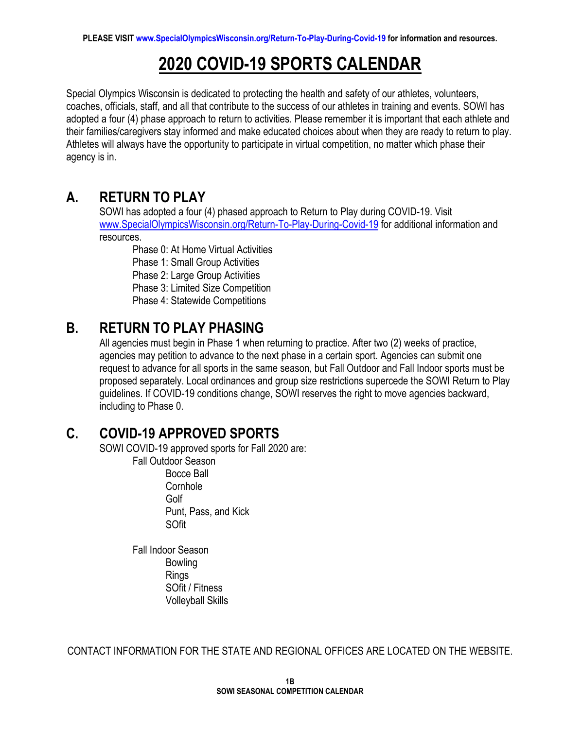# **2020 COVID-19 SPORTS CALENDAR**

Special Olympics Wisconsin is dedicated to protecting the health and safety of our athletes, volunteers, coaches, officials, staff, and all that contribute to the success of our athletes in training and events. SOWI has adopted a four (4) phase approach to return to activities. Please remember it is important that each athlete and their families/caregivers stay informed and make educated choices about when they are ready to return to play. Athletes will always have the opportunity to participate in virtual competition, no matter which phase their agency is in.

#### **A. RETURN TO PLAY**

SOWI has adopted a four (4) phased approach to Return to Play during COVID-19. Visit [www.SpecialOlympicsWisconsin.org/Return-To-Play-During-Covid-19](http://www.specialolympicswisconsin.org/Return-To-Play-During-Covid-19) for additional information and resources.

Phase 0: At Home Virtual Activities

Phase 1: Small Group Activities

Phase 2: Large Group Activities

Phase 3: Limited Size Competition

Phase 4: Statewide Competitions

#### **B. RETURN TO PLAY PHASING**

All agencies must begin in Phase 1 when returning to practice. After two (2) weeks of practice, agencies may petition to advance to the next phase in a certain sport. Agencies can submit one request to advance for all sports in the same season, but Fall Outdoor and Fall Indoor sports must be proposed separately. Local ordinances and group size restrictions supercede the SOWI Return to Play guidelines. If COVID-19 conditions change, SOWI reserves the right to move agencies backward, including to Phase 0.

#### **C. COVID-19 APPROVED SPORTS**

SOWI COVID-19 approved sports for Fall 2020 are:

Fall Outdoor Season Bocce Ball **Cornhole** Golf Punt, Pass, and Kick SOfit

Fall Indoor Season Bowling Rings SOfit / Fitness Volleyball Skills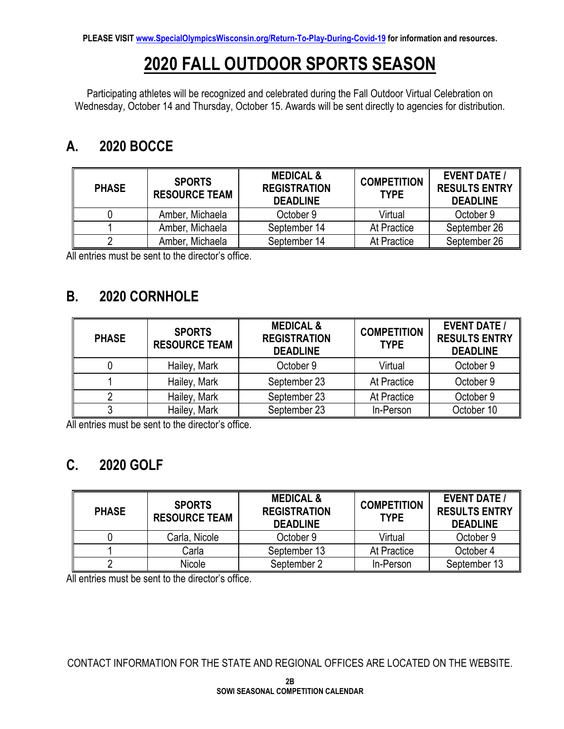# **2020 FALL OUTDOOR SPORTS SEASON**

Participating athletes will be recognized and celebrated during the Fall Outdoor Virtual Celebration on Wednesday, October 14 and Thursday, October 15. Awards will be sent directly to agencies for distribution.

### **A. 2020 BOCCE**

| <b>PHASE</b> | <b>SPORTS</b><br><b>RESOURCE TEAM</b> | <b>MEDICAL &amp;</b><br><b>REGISTRATION</b><br><b>DEADLINE</b> | <b>COMPETITION</b><br><b>TYPE</b> | <b>EVENT DATE /</b><br><b>RESULTS ENTRY</b><br><b>DEADLINE</b> |
|--------------|---------------------------------------|----------------------------------------------------------------|-----------------------------------|----------------------------------------------------------------|
|              | Amber, Michaela                       | October 9                                                      | Virtual                           | October 9                                                      |
|              | Amber, Michaela                       | September 14                                                   | At Practice                       | September 26                                                   |
|              | Amber, Michaela                       | September 14                                                   | At Practice                       | September 26                                                   |

All entries must be sent to the director's office.

#### **B. 2020 CORNHOLE**

| <b>PHASE</b> | <b>SPORTS</b><br><b>RESOURCE TEAM</b> | <b>MEDICAL &amp;</b><br><b>REGISTRATION</b><br><b>DEADLINE</b> | <b>COMPETITION</b><br><b>TYPE</b> | <b>EVENT DATE /</b><br><b>RESULTS ENTRY</b><br><b>DEADLINE</b> |
|--------------|---------------------------------------|----------------------------------------------------------------|-----------------------------------|----------------------------------------------------------------|
|              | Hailey, Mark                          | October 9                                                      | Virtual                           | October 9                                                      |
|              | Hailey, Mark                          | September 23                                                   | At Practice                       | October 9                                                      |
|              | Hailey, Mark                          | September 23                                                   | At Practice                       | October 9                                                      |
|              | Hailey, Mark                          | September 23                                                   | In-Person                         | October 10                                                     |

All entries must be sent to the director's office.

## **C. 2020 GOLF**

| <b>PHASE</b> | <b>SPORTS</b><br><b>RESOURCE TEAM</b> | <b>MEDICAL &amp;</b><br><b>REGISTRATION</b><br><b>DEADLINE</b> | <b>COMPETITION</b><br><b>TYPE</b> | <b>EVENT DATE /</b><br><b>RESULTS ENTRY</b><br><b>DEADLINE</b> |
|--------------|---------------------------------------|----------------------------------------------------------------|-----------------------------------|----------------------------------------------------------------|
|              | Carla, Nicole                         | October 9                                                      | Virtual                           | October 9                                                      |
|              | Carla                                 | September 13                                                   | At Practice                       | October 4                                                      |
|              | Nicole                                | September 2                                                    | In-Person                         | September 13                                                   |

All entries must be sent to the director's office.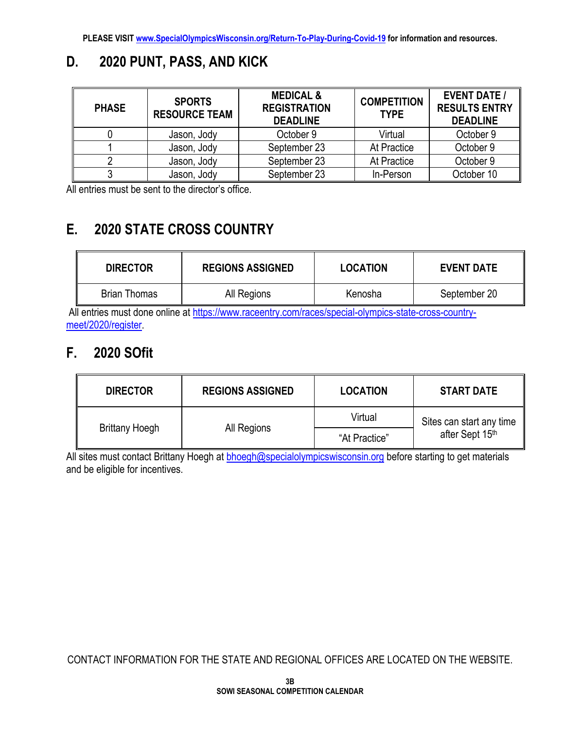## **D. 2020 PUNT, PASS, AND KICK**

| <b>PHASE</b> | <b>SPORTS</b><br><b>RESOURCE TEAM</b> | <b>MEDICAL &amp;</b><br><b>REGISTRATION</b><br><b>DEADLINE</b> | <b>COMPETITION</b><br><b>TYPE</b> | <b>EVENT DATE /</b><br><b>RESULTS ENTRY</b><br><b>DEADLINE</b> |
|--------------|---------------------------------------|----------------------------------------------------------------|-----------------------------------|----------------------------------------------------------------|
|              | Jason, Jody                           | October 9                                                      | Virtual                           | October 9                                                      |
|              | Jason, Jody                           | September 23                                                   | At Practice                       | October 9                                                      |
|              | Jason, Jody                           | September 23                                                   | At Practice                       | October 9                                                      |
|              | Jason, Jody                           | September 23                                                   | In-Person                         | October 10                                                     |

All entries must be sent to the director's office.

## **E. 2020 STATE CROSS COUNTRY**

| <b>DIRECTOR</b>     | <b>REGIONS ASSIGNED</b> | <b>LOCATION</b> | <b>EVENT DATE</b> |
|---------------------|-------------------------|-----------------|-------------------|
| <b>Brian Thomas</b> | All Regions             | Kenosha         | September 20      |

All entries must done online at [https://www.raceentry.com/races/special-olympics-state-cross-country](https://www.raceentry.com/races/special-olympics-state-cross-country-meet/2020/register)[meet/2020/register.](https://www.raceentry.com/races/special-olympics-state-cross-country-meet/2020/register)

#### **F. 2020 SOfit**

| <b>DIRECTOR</b>       | <b>REGIONS ASSIGNED</b> | <b>LOCATION</b> | <b>START DATE</b>        |  |
|-----------------------|-------------------------|-----------------|--------------------------|--|
|                       |                         | Virtual         | Sites can start any time |  |
| <b>Brittany Hoegh</b> | All Regions             | "At Practice"   | after Sept 15th          |  |

All sites must contact Brittany Hoegh at **bhoegh@specialolympicswisconsin.org** before starting to get materials and be eligible for incentives.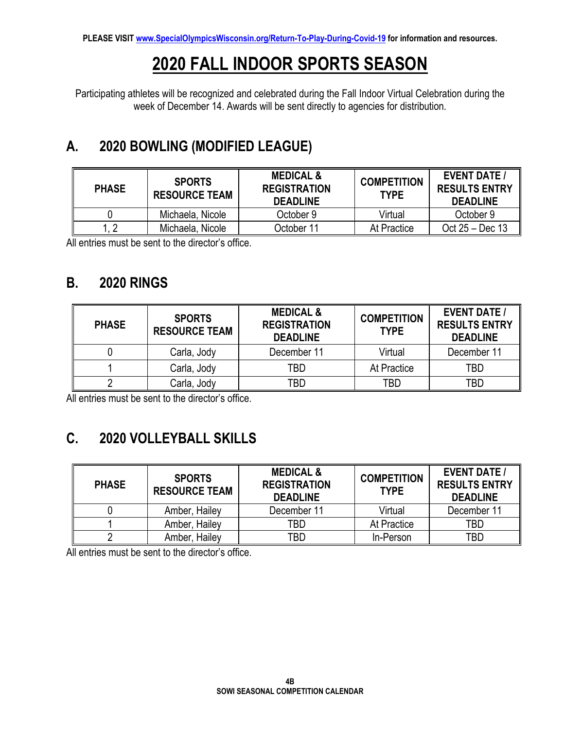# **2020 FALL INDOOR SPORTS SEASON**

Participating athletes will be recognized and celebrated during the Fall Indoor Virtual Celebration during the week of December 14. Awards will be sent directly to agencies for distribution.

# **A. 2020 BOWLING (MODIFIED LEAGUE)**

| <b>PHASE</b> | <b>SPORTS</b><br><b>RESOURCE TEAM</b> | <b>MEDICAL &amp;</b><br><b>REGISTRATION</b><br><b>DEADLINE</b> | <b>COMPETITION</b><br><b>TYPE</b> | <b>EVENT DATE /</b><br><b>RESULTS ENTRY</b><br><b>DEADLINE</b> |
|--------------|---------------------------------------|----------------------------------------------------------------|-----------------------------------|----------------------------------------------------------------|
|              | Michaela, Nicole                      | October 9                                                      | Virtual                           | October 9                                                      |
|              | Michaela, Nicole                      | October 11                                                     | At Practice                       | Oct 25 – Dec 13                                                |

All entries must be sent to the director's office.

#### **B. 2020 RINGS**

| <b>PHASE</b> | <b>SPORTS</b><br><b>RESOURCE TEAM</b> | <b>MEDICAL &amp;</b><br><b>REGISTRATION</b><br><b>DEADLINE</b> | <b>COMPETITION</b><br><b>TYPE</b> | <b>EVENT DATE /</b><br><b>RESULTS ENTRY</b><br><b>DEADLINE</b> |
|--------------|---------------------------------------|----------------------------------------------------------------|-----------------------------------|----------------------------------------------------------------|
|              | Carla, Jody                           | December 11                                                    | Virtual                           | December 11                                                    |
|              | Carla, Jody                           | TBD                                                            | At Practice                       | TBD                                                            |
|              | Carla, Jody                           | TBD                                                            | TBD                               | TBD                                                            |

All entries must be sent to the director's office.

# **C. 2020 VOLLEYBALL SKILLS**

| <b>PHASE</b> | <b>SPORTS</b><br><b>RESOURCE TEAM</b> | <b>MEDICAL &amp;</b><br><b>REGISTRATION</b><br><b>DEADLINE</b> | <b>COMPETITION</b><br><b>TYPE</b> | <b>EVENT DATE /</b><br><b>RESULTS ENTRY</b><br><b>DEADLINE</b> |
|--------------|---------------------------------------|----------------------------------------------------------------|-----------------------------------|----------------------------------------------------------------|
|              | Amber, Hailey                         | December 11                                                    | Virtual                           | December 11                                                    |
|              | Amber, Hailey                         | TBD                                                            | At Practice                       | TBD                                                            |
|              | Amber, Hailey                         | TBD                                                            | In-Person                         | TBD                                                            |

All entries must be sent to the director's office.